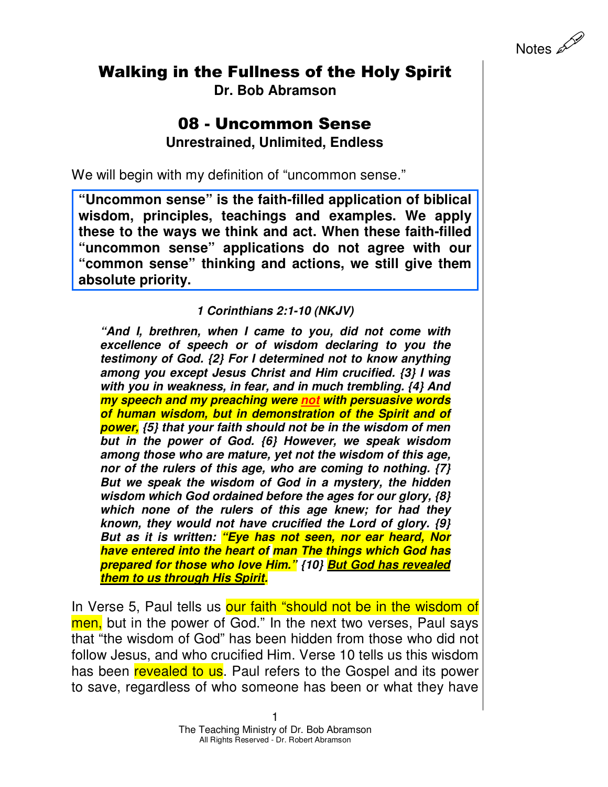

# Walking in the Fullness of the Holy Spirit

**Dr. Bob Abramson** 

## 08 - Uncommon Sense **Unrestrained, Unlimited, Endless**

We will begin with my definition of "uncommon sense."

**"Uncommon sense" is the faith-filled application of biblical wisdom, principles, teachings and examples. We apply these to the ways we think and act. When these faith-filled "uncommon sense" applications do not agree with our "common sense" thinking and actions, we still give them absolute priority.** 

#### **1 Corinthians 2:1-10 (NKJV)**

**"And I, brethren, when I came to you, did not come with excellence of speech or of wisdom declaring to you the testimony of God. {2} For I determined not to know anything among you except Jesus Christ and Him crucified. {3} I was with you in weakness, in fear, and in much trembling. {4} And my speech and my preaching were not with persuasive words of human wisdom, but in demonstration of the Spirit and of power, {5} that your faith should not be in the wisdom of men but in the power of God. {6} However, we speak wisdom among those who are mature, yet not the wisdom of this age, nor of the rulers of this age, who are coming to nothing. {7} But we speak the wisdom of God in a mystery, the hidden wisdom which God ordained before the ages for our glory, {8} which none of the rulers of this age knew; for had they known, they would not have crucified the Lord of glory. {9} But as it is written: "Eye has not seen, nor ear heard, Nor have entered into the heart of man The things which God has prepared for those who love Him." {10} But God has revealed them to us through His Spirit.** 

In Verse 5, Paul tells us our faith "should not be in the wisdom of men, but in the power of God." In the next two verses, Paul says that "the wisdom of God" has been hidden from those who did not follow Jesus, and who crucified Him. Verse 10 tells us this wisdom has been revealed to us. Paul refers to the Gospel and its power to save, regardless of who someone has been or what they have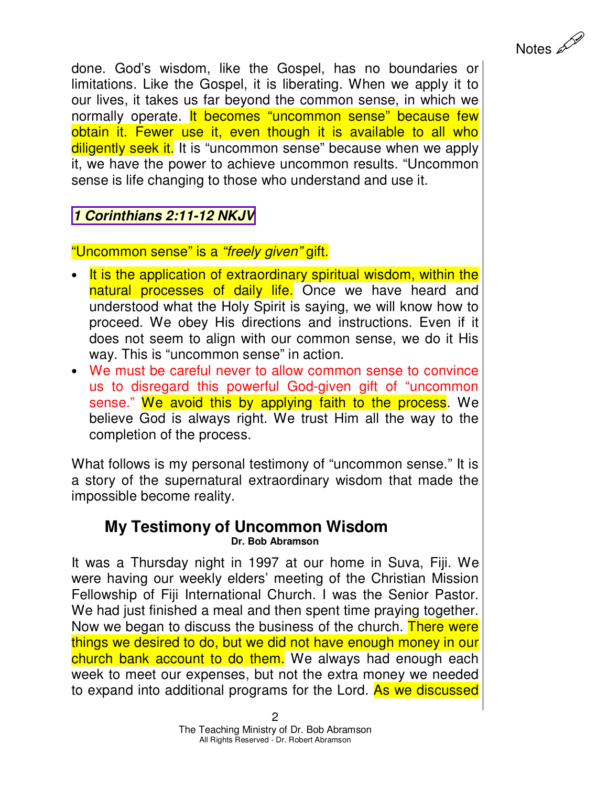Notes

done. God's wisdom, like the Gospel, has no boundaries or limitations. Like the Gospel, it is liberating. When we apply it to our lives, it takes us far beyond the common sense, in which we normally operate. It becomes "uncommon sense" because few obtain it. Fewer use it, even though it is available to all who diligently seek it. It is "uncommon sense" because when we apply it, we have the power to achieve uncommon results. "Uncommon sense is life changing to those who understand and use it.

## **1 Corinthians 2:11-12 NKJV**

"Uncommon sense" is a "freely given" gift.

- It is the application of extraordinary spiritual wisdom, within the natural processes of daily life. Once we have heard and understood what the Holy Spirit is saying, we will know how to proceed. We obey His directions and instructions. Even if it does not seem to align with our common sense, we do it His way. This is "uncommon sense" in action.
- We must be careful never to allow common sense to convince us to disregard this powerful God-given gift of "uncommon sense." We avoid this by applying faith to the process. We believe God is always right. We trust Him all the way to the completion of the process.

What follows is my personal testimony of "uncommon sense." It is a story of the supernatural extraordinary wisdom that made the impossible become reality.

### **My Testimony of Uncommon Wisdom Dr. Bob Abramson**

It was a Thursday night in 1997 at our home in Suva, Fiji. We were having our weekly elders' meeting of the Christian Mission Fellowship of Fiji International Church. I was the Senior Pastor. We had just finished a meal and then spent time praying together. Now we began to discuss the business of the church. There were things we desired to do, but we did not have enough money in our church bank account to do them. We always had enough each week to meet our expenses, but not the extra money we needed to expand into additional programs for the Lord. As we discussed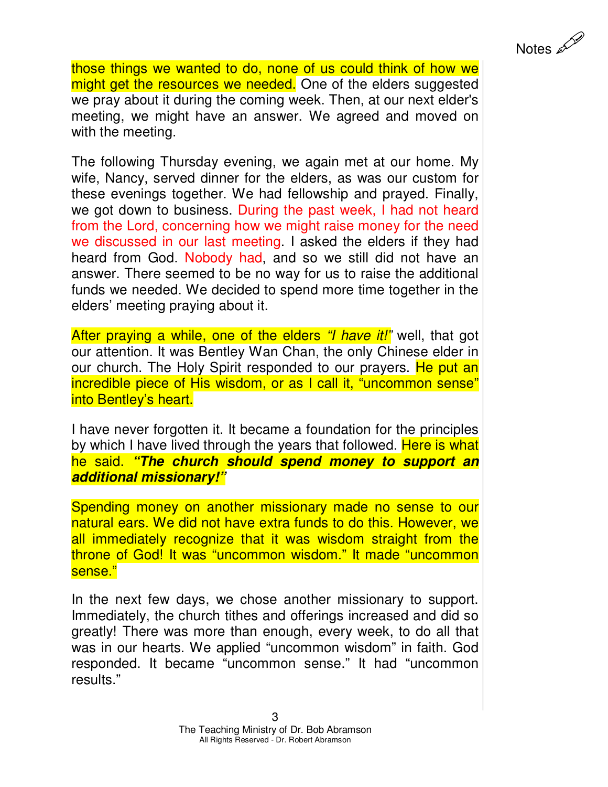those things we wanted to do, none of us could think of how we might get the resources we needed. One of the elders suggested we pray about it during the coming week. Then, at our next elder's meeting, we might have an answer. We agreed and moved on with the meeting.

The following Thursday evening, we again met at our home. My wife, Nancy, served dinner for the elders, as was our custom for these evenings together. We had fellowship and prayed. Finally, we got down to business. During the past week, I had not heard from the Lord, concerning how we might raise money for the need we discussed in our last meeting. I asked the elders if they had heard from God. Nobody had, and so we still did not have an answer. There seemed to be no way for us to raise the additional funds we needed. We decided to spend more time together in the elders' meeting praying about it.

After praying a while, one of the elders "I have it!" well, that got our attention. It was Bentley Wan Chan, the only Chinese elder in our church. The Holy Spirit responded to our prayers. He put an incredible piece of His wisdom, or as I call it, "uncommon sense" into Bentley's heart.

I have never forgotten it. It became a foundation for the principles by which I have lived through the years that followed. Here is what he said. **"The church should spend money to support an additional missionary!"** 

Spending money on another missionary made no sense to our natural ears. We did not have extra funds to do this. However, we all immediately recognize that it was wisdom straight from the throne of God! It was "uncommon wisdom." It made "uncommon sense."

In the next few days, we chose another missionary to support. Immediately, the church tithes and offerings increased and did so greatly! There was more than enough, every week, to do all that was in our hearts. We applied "uncommon wisdom" in faith. God responded. It became "uncommon sense." It had "uncommon results."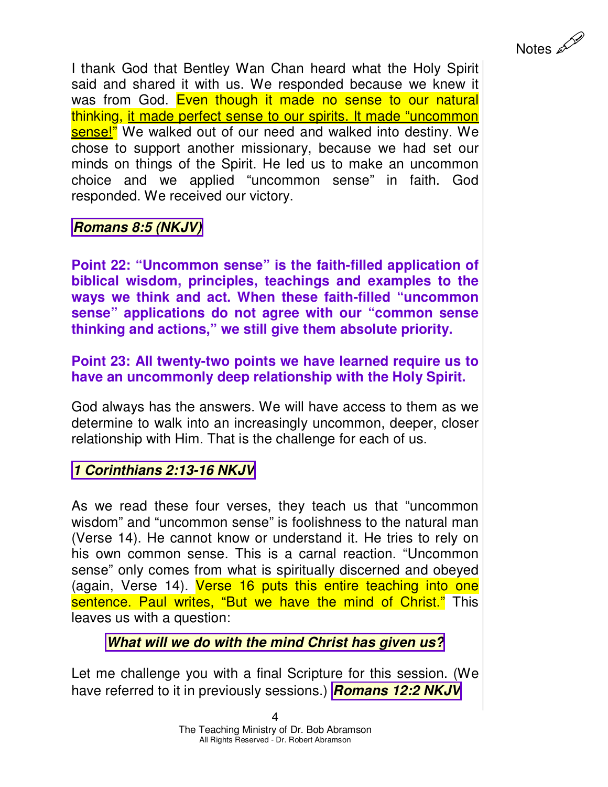I thank God that Bentley Wan Chan heard what the Holy Spirit said and shared it with us. We responded because we knew it was from God. Even though it made no sense to our natural thinking, it made perfect sense to our spirits. It made "uncommon sense!" We walked out of our need and walked into destiny. We chose to support another missionary, because we had set our minds on things of the Spirit. He led us to make an uncommon choice and we applied "uncommon sense" in faith. God responded. We received our victory.

Notes

## **Romans 8:5 (NKJV)**

**Point 22: "Uncommon sense" is the faith-filled application of biblical wisdom, principles, teachings and examples to the ways we think and act. When these faith-filled "uncommon sense" applications do not agree with our "common sense thinking and actions," we still give them absolute priority.** 

#### **Point 23: All twenty-two points we have learned require us to have an uncommonly deep relationship with the Holy Spirit.**

God always has the answers. We will have access to them as we determine to walk into an increasingly uncommon, deeper, closer relationship with Him. That is the challenge for each of us.

**1 Corinthians 2:13-16 NKJV**

As we read these four verses, they teach us that "uncommon wisdom" and "uncommon sense" is foolishness to the natural man (Verse 14). He cannot know or understand it. He tries to rely on his own common sense. This is a carnal reaction. "Uncommon sense" only comes from what is spiritually discerned and obeyed (again, Verse 14). Verse 16 puts this entire teaching into one sentence. Paul writes, "But we have the mind of Christ." This leaves us with a question:

**What will we do with the mind Christ has given us?**

Let me challenge you with a final Scripture for this session. (We have referred to it in previously sessions.) **Romans 12:2 NKJV**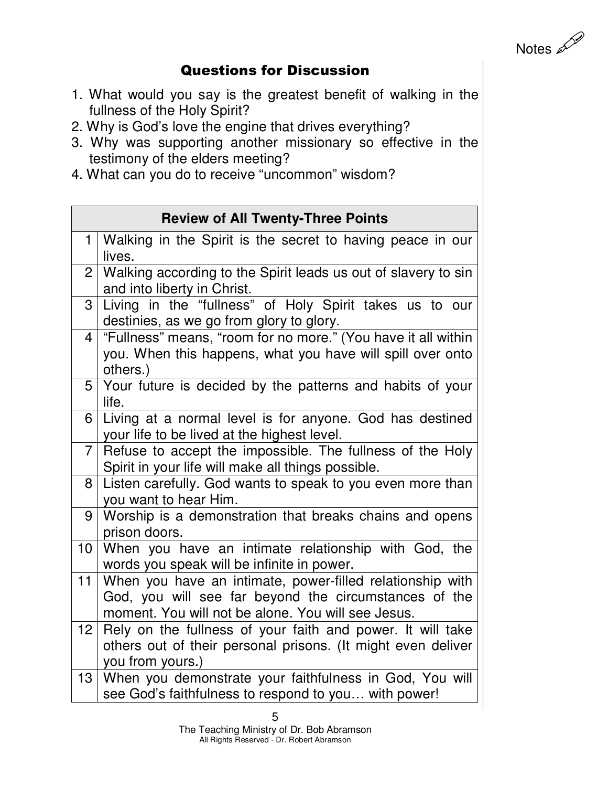Notes

## Questions for Discussion

- 1. What would you say is the greatest benefit of walking in the fullness of the Holy Spirit?
- 2. Why is God's love the engine that drives everything?
- 3. Why was supporting another missionary so effective in the testimony of the elders meeting?
- 4. What can you do to receive "uncommon" wisdom?

| <b>Review of All Twenty-Three Points</b> |                                                                                                                                                                          |
|------------------------------------------|--------------------------------------------------------------------------------------------------------------------------------------------------------------------------|
|                                          | 1   Walking in the Spirit is the secret to having peace in our<br>lives.                                                                                                 |
| 2 <sup>1</sup>                           | Walking according to the Spirit leads us out of slavery to sin<br>and into liberty in Christ.                                                                            |
| 3                                        | Living in the "fullness" of Holy Spirit takes us to our<br>destinies, as we go from glory to glory.                                                                      |
| $\overline{4}$                           | "Fullness" means, "room for no more." (You have it all within<br>you. When this happens, what you have will spill over onto<br>others.)                                  |
| 5                                        | Your future is decided by the patterns and habits of your<br>life.                                                                                                       |
| 6                                        | Living at a normal level is for anyone. God has destined<br>your life to be lived at the highest level.                                                                  |
| $\overline{7}$                           | Refuse to accept the impossible. The fullness of the Holy<br>Spirit in your life will make all things possible.                                                          |
| 8                                        | Listen carefully. God wants to speak to you even more than<br>you want to hear Him.                                                                                      |
| 9                                        | Worship is a demonstration that breaks chains and opens<br>prison doors.                                                                                                 |
| 10 <sup>1</sup>                          | When you have an intimate relationship with God, the<br>words you speak will be infinite in power.                                                                       |
| 11                                       | When you have an intimate, power-filled relationship with<br>God, you will see far beyond the circumstances of the<br>moment. You will not be alone. You will see Jesus. |
| 12 <sub>2</sub>                          | Rely on the fullness of your faith and power. It will take<br>others out of their personal prisons. (It might even deliver<br>you from yours.)                           |
| 13 <sup>13</sup>                         | When you demonstrate your faithfulness in God, You will<br>see God's faithfulness to respond to you with power!                                                          |